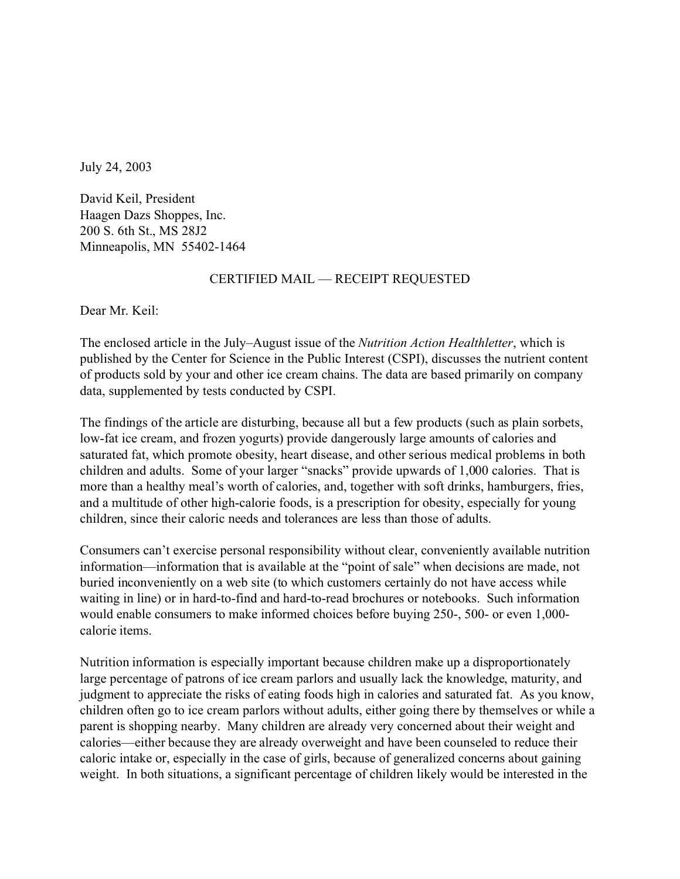July 24, 2003

David Keil, President Haagen Dazs Shoppes, Inc. 200 S. 6th St., MS 28J2 Minneapolis, MN 55402-1464

## CERTIFIED MAIL — RECEIPT REQUESTED

Dear Mr. Keil:

The enclosed article in the July–August issue of the *Nutrition Action Healthletter*, which is published by the Center for Science in the Public Interest (CSPI), discusses the nutrient content of products sold by your and other ice cream chains. The data are based primarily on company data, supplemented by tests conducted by CSPI.

The findings of the article are disturbing, because all but a few products (such as plain sorbets, low-fat ice cream, and frozen yogurts) provide dangerously large amounts of calories and saturated fat, which promote obesity, heart disease, and other serious medical problems in both children and adults. Some of your larger "snacks" provide upwards of 1,000 calories. That is more than a healthy meal's worth of calories, and, together with soft drinks, hamburgers, fries, and a multitude of other high-calorie foods, is a prescription for obesity, especially for young children, since their caloric needs and tolerances are less than those of adults.

Consumers can't exercise personal responsibility without clear, conveniently available nutrition information—information that is available at the "point of sale" when decisions are made, not buried inconveniently on a web site (to which customers certainly do not have access while waiting in line) or in hard-to-find and hard-to-read brochures or notebooks. Such information would enable consumers to make informed choices before buying 250-, 500- or even 1,000 calorie items.

Nutrition information is especially important because children make up a disproportionately large percentage of patrons of ice cream parlors and usually lack the knowledge, maturity, and judgment to appreciate the risks of eating foods high in calories and saturated fat. As you know, children often go to ice cream parlors without adults, either going there by themselves or while a parent is shopping nearby. Many children are already very concerned about their weight and calories—either because they are already overweight and have been counseled to reduce their caloric intake or, especially in the case of girls, because of generalized concerns about gaining weight. In both situations, a significant percentage of children likely would be interested in the